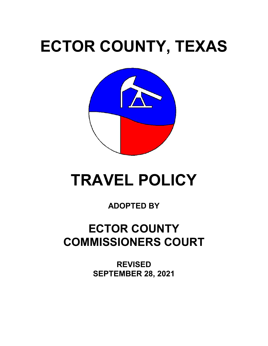# **ECTOR COUNTY, TEXAS**



## **TRAVEL POLICY**

### **ADOPTED BY**

### **ECTOR COUNTY COMMISSIONERS COURT**

**REVISED SEPTEMBER 28, 2021**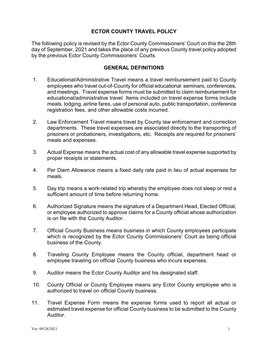#### **ECTOR COUNTY TRAVEL POLICY**

The following policy is revised by the Ector County Commissioners' Court on this the 28th day of September, 2021 and takes the place of any previous County travel policy adopted by the previous Ector County Commissioners' Courts.

#### **GENERAL DEFINITIONS**

- 1. Educational/Administrative Travel means a travel reimbursement paid to County employees who travel out-of-County for official educational seminars, conferences, and meetings. Travel expense forms must be submitted to claim reimbursement for educational/administrative travel. Items included on travel expense forms include meals, lodging, airline fares, use of personal auto, public transportation, conference registration fees, and other allowable costs incurred.
- 2. Law Enforcement Travel means travel by County law enforcement and correction departments. These travel expenses are associated directly to the transporting of prisoners or probationers, investigations, etc. Receipts are required for prisoners' meals and expenses.
- 3. Actual Expense means the actual cost of any allowable travel expense supported by proper receipts or statements.
- 4. Per Diem Allowance means a fixed daily rate paid in lieu of actual expenses for meals.
- 5. Day trip means a work-related trip whereby the employee does not sleep or rest a sufficient amount of time before returning home.
- 6. Authorized Signature means the signature of a Department Head, Elected Official, or employee authorized to approve claims for a County official whose authorization is on file with the County Auditor.
- 7. Official County Business means business in which County employees participate which is recognized by the Ector County Commissioners' Court as being official business of the County.
- 8. Traveling County Employee means the County official, department head or employee traveling on official County business who incurs expenses.
- 9. Auditor means the Ector County Auditor and his designated staff.
- 10. County Official or County Employee means any Ector County employee who is authorized to travel on official County business.
- 11. Travel Expense Form means the expense forms used to report all actual or estimated travel expense for official County business to be submitted to the County Auditor.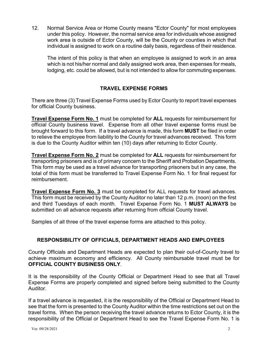12. Normal Service Area or Home County means "Ector County" for most employees under this policy. However, the normal service area for individuals whose assigned work area is outside of Ector County, will be the County or counties in which that individual is assigned to work on a routine daily basis, regardless of their residence.

The intent of this policy is that when an employee is assigned to work in an area which is not his/her normal and daily assigned work area, then expenses for meals, lodging, etc. could be allowed, but is not intended to allow for commuting expenses.

#### **TRAVEL EXPENSE FORMS**

There are three (3) Travel Expense Forms used by Ector County to report travel expenses for official County business.

**Travel Expense Form No. 1** must be completed for **ALL** requests for reimbursement for official County business travel. Expense from all other travel expense forms must be brought forward to this form. If a travel advance is made, this form **MUST** be filed in order to relieve the employee from liability to the County for travel advances received. This form is due to the County Auditor within ten (10) days after returning to Ector County.

**Travel Expense Form No. 2** must be completed for **ALL** requests for reimbursement for transporting prisoners and is of primary concern to the Sheriff and Probation Departments. This form may be used as a travel advance for transporting prisoners but in any case, the total of this form must be transferred to Travel Expense Form No. 1 for final request for reimbursement.

**Travel Expense Form No. 3** must be completed for ALL requests for travel advances. This form must be received by the County Auditor no later than 12 p.m. (noon) on the first and third Tuesdays of each month. Travel Expense Form No. 1 **MUST ALWAYS** be submitted on all advance requests after returning from official County travel.

Samples of all three of the travel expense forms are attached to this policy.

#### **RESPONSIBILITY OF OFFICIALS, DEPARTMENT HEADS AND EMPLOYEES**

County Officials and Department Heads are expected to plan their out-of-County travel to achieve maximum economy and efficiency. All County reimbursable travel must be for **OFFICIAL COUNTY BUSINESS ONLY**.

It is the responsibility of the County Official or Department Head to see that all Travel Expense Forms are properly completed and signed before being submitted to the County Auditor.

If a travel advance is requested, it is the responsibility of the Official or Department Head to see that the form is presented to the County Auditor within the time restrictions set out on the travel forms. When the person receiving the travel advance returns to Ector County, it is the responsibility of the Official or Department Head to see the Travel Expense Form No. 1 is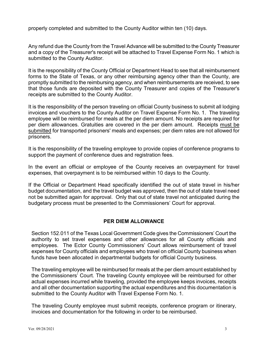properly completed and submitted to the County Auditor within ten (10) days.

Any refund due the County from the Travel Advance will be submitted to the County Treasurer and a copy of the Treasurer's receipt will be attached to Travel Expense Form No. 1 which is submitted to the County Auditor.

It is the responsibility of the County Official or Department Head to see that all reimbursement forms to the State of Texas, or any other reimbursing agency other than the County, are promptly submitted to the reimbursing agency, and when reimbursements are received, to see that those funds are deposited with the County Treasurer and copies of the Treasurer's receipts are submitted to the County Auditor.

It is the responsibility of the person traveling on official County business to submit all lodging invoices and vouchers to the County Auditor on Travel Expense Form No. 1. The traveling employee will be reimbursed for meals at the per diem amount. No receipts are required for per diem allowances. Gratuities are covered in the per diem amount. Receipts must be submitted for transported prisoners' meals and expenses; per diem rates are not allowed for prisoners.

It is the responsibility of the traveling employee to provide copies of conference programs to support the payment of conference dues and registration fees.

In the event an official or employee of the County receives an overpayment for travel expenses, that overpayment is to be reimbursed within 10 days to the County.

If the Official or Department Head specifically identified the out of state travel in his/her budget documentation, and the travel budget was approved, then the out of state travel need not be submitted again for approval. Only that out of state travel not anticipated during the budgetary process must be presented to the Commissioners' Court for approval.

#### **PER DIEM ALLOWANCE**

Section 152.011 of the Texas Local Government Code gives the Commissioners' Court the authority to set travel expenses and other allowances for all County officials and employees. The Ector County Commissioners' Court allows reimbursement of travel expenses for County officials and employees who travel on official County business when funds have been allocated in departmental budgets for official County business.

The traveling employee will be reimbursed for meals at the per diem amount established by the Commissioners' Court. The traveling County employee will be reimbursed for other actual expenses incurred while traveling, provided the employee keeps invoices, receipts and all other documentation supporting the actual expenditures and this documentation is submitted to the County Auditor with Travel Expense Form No. 1.

The traveling County employee must submit receipts, conference program or itinerary, invoices and documentation for the following in order to be reimbursed.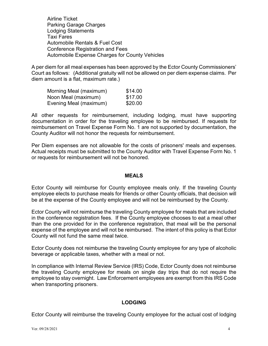Airline Ticket Parking Garage Charges Lodging Statements Taxi Fares Automobile Rentals & Fuel Cost Conference Registration and Fees Automobile Expense Charges for County Vehicles

A per diem for all meal expenses has been approved by the Ector County Commissioners' Court as follows: (Additional gratuity will not be allowed on per diem expense claims. Per diem amount is a flat, maximum rate.)

| Morning Meal (maximum) | \$14.00 |
|------------------------|---------|
| Noon Meal (maximum)    | \$17.00 |
| Evening Meal (maximum) | \$20.00 |

All other requests for reimbursement, including lodging, must have supporting documentation in order for the traveling employee to be reimbursed. If requests for reimbursement on Travel Expense Form No. 1 are not supported by documentation, the County Auditor will not honor the requests for reimbursement.

Per Diem expenses are not allowable for the costs of prisoners' meals and expenses. Actual receipts must be submitted to the County Auditor with Travel Expense Form No. 1 or requests for reimbursement will not be honored.

#### **MEALS**

Ector County will reimburse for County employee meals only. If the traveling County employee elects to purchase meals for friends or other County officials, that decision will be at the expense of the County employee and will not be reimbursed by the County.

Ector County will not reimburse the traveling County employee for meals that are included in the conference registration fees. If the County employee chooses to eat a meal other than the one provided for in the conference registration, that meal will be the personal expense of the employee and will not be reimbursed. The intent of this policy is that Ector County will not fund the same meal twice.

Ector County does not reimburse the traveling County employee for any type of alcoholic beverage or applicable taxes, whether with a meal or not.

In compliance with Internal Review Service (IRS) Code, Ector County does not reimburse the traveling County employee for meals on single day trips that do not require the employee to stay overnight. Law Enforcement employees are exempt from this IRS Code when transporting prisoners.

#### **LODGING**

Ector County will reimburse the traveling County employee for the actual cost of lodging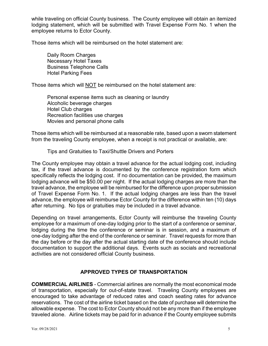while traveling on official County business. The County employee will obtain an itemized lodging statement, which will be submitted with Travel Expense Form No. 1 when the employee returns to Ector County.

Those items which will be reimbursed on the hotel statement are:

Daily Room Charges Necessary Hotel Taxes Business Telephone Calls Hotel Parking Fees

Those items which will NOT be reimbursed on the hotel statement are:

Personal expense items such as cleaning or laundry Alcoholic beverage charges Hotel Club charges Recreation facilities use charges Movies and personal phone calls

Those items which will be reimbursed at a reasonable rate, based upon a sworn statement from the traveling County employee, when a receipt is not practical or available, are:

Tips and Gratuities to Taxi/Shuttle Drivers and Porters

The County employee may obtain a travel advance for the actual lodging cost, including tax, if the travel advance is documented by the conference registration form which specifically reflects the lodging cost. If no documentation can be provided, the maximum lodging advance will be \$50.00 per night. If the actual lodging charges are more than the travel advance, the employee will be reimbursed for the difference upon proper submission of Travel Expense Form No. 1. If the actual lodging charges are less than the travel advance, the employee will reimburse Ector County for the difference within ten (10) days after returning. No tips or gratuities may be included in a travel advance.

Depending on travel arrangements, Ector County will reimburse the traveling County employee for a maximum of one-day lodging prior to the start of a conference or seminar, lodging during the time the conference or seminar is in session, and a maximum of one-day lodging after the end of the conference or seminar. Travel requests for more than the day before or the day after the actual starting date of the conference should include documentation to support the additional days. Events such as socials and recreational activities are not considered official County business.

#### **APPROVED TYPES OF TRANSPORTATION**

**COMMERCIAL AIRLINES** - Commercial airlines are normally the most economical mode of transportation, especially for out-of-state travel. Traveling County employees are encouraged to take advantage of reduced rates and coach seating rates for advance reservations. The cost of the airline ticket based on the date of purchase will determine the allowable expense. The cost to Ector County should not be any more than if the employee traveled alone. Airline tickets may be paid for in advance if the County employee submits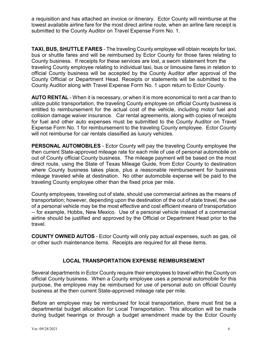a requisition and has attached an invoice or itinerary. Ector County will reimburse at the lowest available airline fare for the most direct airline route, when an airline fare receipt is submitted to the County Auditor on Travel Expense Form No. 1.

**TAXI, BUS, SHUTTLE FARES** - The traveling County employee will obtain receipts for taxi, bus or shuttle fares and will be reimbursed by Ector County for those fares relating to County business. If receipts for these services are lost, a sworn statement from the traveling County employee relating to individual taxi, bus or limousine fares in relation to official County business will be accepted by the County Auditor after approval of the County Official or Department Head. Receipts or statements will be submitted to the County Auditor along with Travel Expense Form No. 1 upon return to Ector County.

**AUTO RENTAL** - When it is necessary, or when it is more economical to rent a car than to utilize public transportation, the traveling County employee on official County business is entitled to reimbursement for the actual cost of the vehicle, including motor fuel and collision damage waiver insurance. Car rental agreements, along with copies of receipts for fuel and other auto expenses must be submitted to the County Auditor on Travel Expense Form No. 1 for reimbursement to the traveling County employee. Ector County will not reimburse for car rentals classified as luxury vehicles.

**PERSONAL AUTOMOBILES** - Ector County will pay the traveling County employee the then current State-approved mileage rate for each mile of use of personal automobile on out of County official County business. The mileage payment will be based on the most direct route, using the State of Texas Mileage Guide, from Ector County to destination where County business takes place, plus a reasonable reimbursement for business mileage traveled while at destination. No other automobile expense will be paid to the traveling County employee other than the fixed price per mile.

County employees, traveling out of state, should use commercial airlines as the means of transportation; however, depending upon the destination of the out of state travel, the use of a personal vehicle may be the most effective and cost efficient means of transportation -- for example, Hobbs, New Mexico. Use of a personal vehicle instead of a commercial airline should be justified and approved by the Official or Department Head prior to the travel.

**COUNTY OWNED AUTOS** - Ector County will only pay actual expenses, such as gas, oil or other such maintenance items. Receipts are required for all these items.

#### **LOCAL TRANSPORTATION EXPENSE REIMBURSEMENT**

Several departments in Ector County require their employees to travel within the County on official County business. When a County employee uses a personal automobile for this purpose, the employee may be reimbursed for use of personal auto on official County business at the then current State-approved mileage rate per mile.

Before an employee may be reimbursed for local transportation, there must first be a departmental budget allocation for Local Transportation. This allocation will be made during budget hearings or through a budget amendment made by the Ector County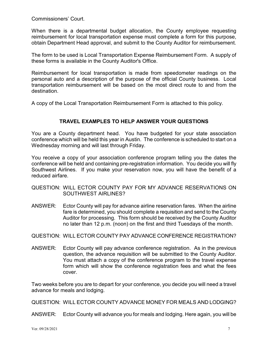Commissioners' Court.

When there is a departmental budget allocation, the County employee requesting reimbursement for local transportation expense must complete a form for this purpose, obtain Department Head approval, and submit to the County Auditor for reimbursement.

The form to be used is Local Transportation Expense Reimbursement Form. A supply of these forms is available in the County Auditor's Office.

Reimbursement for local transportation is made from speedometer readings on the personal auto and a description of the purpose of the official County business. Local transportation reimbursement will be based on the most direct route to and from the destination.

A copy of the Local Transportation Reimbursement Form is attached to this policy.

#### **TRAVEL EXAMPLES TO HELP ANSWER YOUR QUESTIONS**

You are a County department head. You have budgeted for your state association conference which will be held this year in Austin. The conference is scheduled to start on a Wednesday morning and will last through Friday.

You receive a copy of your association conference program telling you the dates the conference will be held and containing pre-registration information. You decide you will fly Southwest Airlines. If you make your reservation now, you will have the benefit of a reduced airfare.

- QUESTION: WILL ECTOR COUNTY PAY FOR MY ADVANCE RESERVATIONS ON SOUTHWEST AIRLINES?
- ANSWER: Ector County will pay for advance airline reservation fares. When the airline fare is determined, you should complete a requisition and send to the County Auditor for processing. This form should be received by the County Auditor no later than 12 p.m. (noon) on the first and third Tuesdays of the month.
- QUESTION: WILL ECTOR COUNTY PAY ADVANCE CONFERENCE REGISTRATION?
- ANSWER: Ector County will pay advance conference registration. As in the previous question, the advance requisition will be submitted to the County Auditor. You must attach a copy of the conference program to the travel expense form which will show the conference registration fees and what the fees cover.

Two weeks before you are to depart for your conference, you decide you will need a travel advance for meals and lodging.

QUESTION: WILL ECTOR COUNTY ADVANCE MONEY FOR MEALS AND LODGING?

ANSWER: Ector County will advance you for meals and lodging. Here again, you will be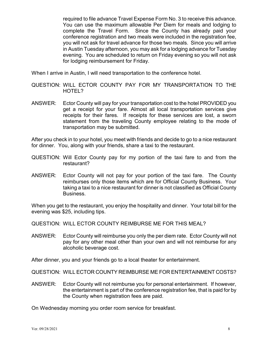required to file advance Travel Expense Form No. 3 to receive this advance. You can use the maximum allowable Per Diem for meals and lodging to complete the Travel Form. Since the County has already paid your conference registration and two meals were included in the registration fee, you will not ask for travel advance for those two meals. Since you will arrive in Austin Tuesday afternoon, you may ask for a lodging advance for Tuesday evening. You are scheduled to return on Friday evening so you will not ask for lodging reimbursement for Friday.

When I arrive in Austin, I will need transportation to the conference hotel.

- QUESTION: WILL ECTOR COUNTY PAY FOR MY TRANSPORTATION TO THE HOTEL?
- ANSWER: Ector County will pay for your transportation cost to the hotel PROVIDED you get a receipt for your fare. Almost all local transportation services give receipts for their fares. If receipts for these services are lost, a sworn statement from the traveling County employee relating to the mode of transportation may be submitted.

After you check in to your hotel, you meet with friends and decide to go to a nice restaurant for dinner. You, along with your friends, share a taxi to the restaurant.

- QUESTION: Will Ector County pay for my portion of the taxi fare to and from the restaurant?
- ANSWER: Ector County will not pay for your portion of the taxi fare. The County reimburses only those items which are for Official County Business. Your taking a taxi to a nice restaurant for dinner is not classified as Official County Business.

When you get to the restaurant, you enjoy the hospitality and dinner. Your total bill for the evening was \$25, including tips.

QUESTION: WILL ECTOR COUNTY REIMBURSE ME FOR THIS MEAL?

ANSWER: Ector County will reimburse you only the per diem rate. Ector County will not pay for any other meal other than your own and will not reimburse for any alcoholic beverage cost.

After dinner, you and your friends go to a local theater for entertainment.

QUESTION: WILL ECTOR COUNTY REIMBURSE ME FOR ENTERTAINMENT COSTS?

ANSWER: Ector County will not reimburse you for personal entertainment. If however, the entertainment is part of the conference registration fee, that is paid for by the County when registration fees are paid.

On Wednesday morning you order room service for breakfast.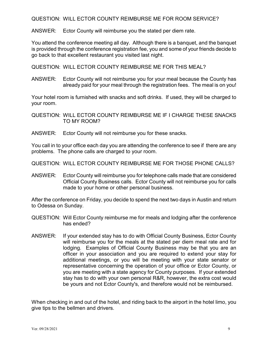QUESTION: WILL ECTOR COUNTY REIMBURSE ME FOR ROOM SERVICE?

ANSWER: Ector County will reimburse you the stated per diem rate.

You attend the conference meeting all day. Although there is a banquet, and the banquet is provided through the conference registration fee, you and some of your friends decide to go back to that excellent restaurant you visited last night.

QUESTION: WILL ECTOR COUNTY REIMBURSE ME FOR THIS MEAL?

ANSWER: Ector County will not reimburse you for your meal because the County has already paid for your meal through the registration fees. The meal is on you!

Your hotel room is furnished with snacks and soft drinks. If used, they will be charged to your room.

QUESTION: WILL ECTOR COUNTY REIMBURSE ME IF I CHARGE THESE SNACKS TO MY ROOM?

ANSWER: Ector County will not reimburse you for these snacks.

You call in to your office each day you are attending the conference to see if there are any problems. The phone calls are charged to your room.

QUESTION: WILL ECTOR COUNTY REIMBURSE ME FOR THOSE PHONE CALLS?

ANSWER: Ector County will reimburse you for telephone calls made that are considered Official County Business calls. Ector County will not reimburse you for calls made to your home or other personal business.

After the conference on Friday, you decide to spend the next two days in Austin and return to Odessa on Sunday.

- QUESTION: Will Ector County reimburse me for meals and lodging after the conference has ended?
- ANSWER: If your extended stay has to do with Official County Business, Ector County will reimburse you for the meals at the stated per diem meal rate and for lodging. Examples of Official County Business may be that you are an officer in your association and you are required to extend your stay for additional meetings, or you will be meeting with your state senator or representative concerning the operation of your office or Ector County, or you are meeting with a state agency for County purposes. If your extended stay has to do with your own personal R&R, however, the extra cost would be yours and not Ector County's, and therefore would not be reimbursed.

When checking in and out of the hotel, and riding back to the airport in the hotel limo, you give tips to the bellmen and drivers.